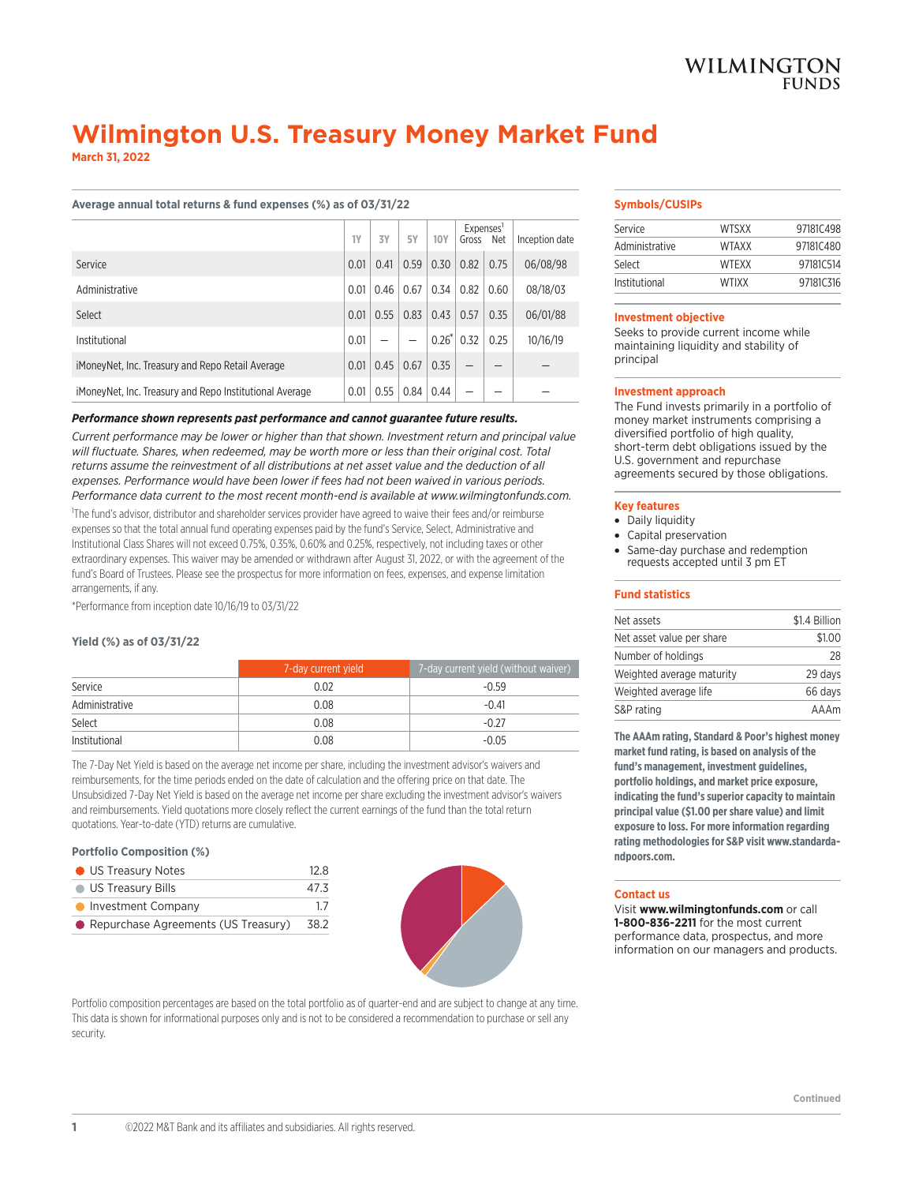# **Wilmington U.S. Treasury Money Market Fund**

**March 31, 2022**

# **Average annual total returns & fund expenses (%) as of 03/31/22**

|                                                         | 1Y   | 3Y   | <b>5Y</b> | <b>10Y</b> | Gross | Expenses'<br>Net | Inception date |
|---------------------------------------------------------|------|------|-----------|------------|-------|------------------|----------------|
| Service                                                 | 0.01 | 0.41 | 0.59      | 0.30       | 0.82  | 0.75             | 06/08/98       |
| Administrative                                          | 0.01 | 0.46 | 0.67      | 0.34       | 0.82  | 0.60             | 08/18/03       |
| Select                                                  | 0.01 | 0.55 | 0.83      | 0.43       | 0.57  | 0.35             | 06/01/88       |
| Institutional                                           | 0.01 |      |           | $0.26*$    | 0.32  | 0.25             | 10/16/19       |
| iMoneyNet, Inc. Treasury and Repo Retail Average        | 0.01 | 0.45 | 0.67      | 0.35       |       |                  |                |
| iMoneyNet, Inc. Treasury and Repo Institutional Average | 0.01 | 0.55 | 0.84      | 0.44       |       |                  |                |

# *Performance shown represents past performance and cannot guarantee future results.*

*Current performance may be lower or higher than that shown. Investment return and principal value will fluctuate. Shares, when redeemed, may be worth more or less than their original cost. Total returns assume the reinvestment of all distributions at net asset value and the deduction of all expenses. Performance would have been lower if fees had not been waived in various periods. Performance data current to the most recent month-end is available at www.wilmingtonfunds.com.*

1 The fund's advisor, distributor and shareholder services provider have agreed to waive their fees and/or reimburse expenses so that the total annual fund operating expenses paid by the fund's Service, Select, Administrative and Institutional Class Shares will not exceed 0.75%, 0.35%, 0.60% and 0.25%, respectively, not including taxes or other extraordinary expenses. This waiver may be amended or withdrawn after August 31, 2022, or with the agreement of the fund's Board of Trustees. Please see the prospectus for more information on fees, expenses, and expense limitation arrangements, if any.

\*Performance from inception date 10/16/19 to 03/31/22

# **Yield (%) as of 03/31/22**

|                | 7-day current yield | 7-day current yield (without waiver) |
|----------------|---------------------|--------------------------------------|
| Service        | 0.02                | $-0.59$                              |
| Administrative | 0.08                | $-0.41$                              |
| Select         | 0.08                | $-0.27$                              |
| Institutional  | 0.08                | $-0.05$                              |

The 7-Day Net Yield is based on the average net income per share, including the investment advisor's waivers and reimbursements, for the time periods ended on the date of calculation and the offering price on that date. The Unsubsidized 7-Day Net Yield is based on the average net income per share excluding the investment advisor's waivers and reimbursements. Yield quotations more closely reflect the current earnings of the fund than the total return quotations. Year-to-date (YTD) returns are cumulative.

## **Portfolio Composition (%)**

| <b>O</b> US Treasury Notes            | 12R  |
|---------------------------------------|------|
| <b>US Treasury Bills</b>              | 47.3 |
| • Investment Company                  | 17   |
| • Repurchase Agreements (US Treasury) | 38.2 |



Portfolio composition percentages are based on the total portfolio as of quarter-end and are subject to change at any time. This data is shown for informational purposes only and is not to be considered a recommendation to purchase or sell any security.

## **Symbols/CUSIPs**

| Service        | <b>WTSXX</b> | 97181C498 |
|----------------|--------------|-----------|
| Administrative | WTAXX        | 97181C480 |
| Select         | <b>WTFXX</b> | 97181C514 |
| Institutional  | <b>WTIXX</b> | 97181C316 |

#### **Investment objective**

Seeks to provide current income while maintaining liquidity and stability of principal

### **Investment approach**

The Fund invests primarily in a portfolio of money market instruments comprising a diversified portfolio of high quality, short-term debt obligations issued by the U.S. government and repurchase agreements secured by those obligations.

## **Key features**

- Daily liquidity
- Capital preservation
- Same-day purchase and redemption requests accepted until 3 pm ET

## **Fund statistics**

| \$1.4 Billion |  |  |  |  |
|---------------|--|--|--|--|
| \$1.00        |  |  |  |  |
| 28            |  |  |  |  |
| 29 days       |  |  |  |  |
| 66 days       |  |  |  |  |
| AAAm          |  |  |  |  |
|               |  |  |  |  |

**The AAAm rating, Standard & Poor's highest money market fund rating, is based on analysis of the fund's management, investment guidelines, portfolio holdings, and market price exposure, indicating the fund's superior capacity to maintain principal value (\$1.00 per share value) and limit exposure to loss. For more information regarding rating methodologies for S&P visit www.standardandpoors.com.**

#### **Contact us**

Visit **www.wilmingtonfunds.com** or call **1-800-836-2211** for the most current performance data, prospectus, and more information on our managers and products.